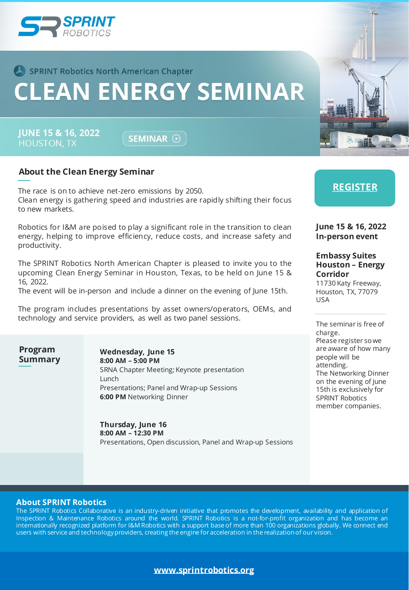

## **CLEAN ENERGY SEMINAR**

**JUNE 15 & 16, 2022 HOUSTON, TX** 

SEMINAR <sup>O</sup>

### **About the Clean Energy Seminar**

The race is on to achieve net-zero emissions by 2050. Clean energy is gathering speed and industries are rapidly shifting their focus to new markets.

Robotics for I&M are poised to play a significant role in the transition to clean energy, helping to improve efficiency, reduce costs, and increase safety and productivity.

The SPRINT Robotics North American Chapter is pleased to invite you to the upcoming Clean Energy Seminar in Houston, Texas, to be held on June 15 & 16, 2022.

The event will be in-person and include a dinner on the evening of June 15th.

The program includes presentations by asset owners/operators, OEMs, and technology and service providers, as well as two panel sessions.

**Program Summary**

**Wednesday, June 15 8:00 AM – 5:00 PM** SRNA Chapter Meeting; Keynote presentation Lunch Presentations; Panel and Wrap-up Sessions **6:00 PM** Networking Dinner

**Thursday, June 16 8:00 AM – 12:30 PM** Presentations, Open discussion, Panel and Wrap-up Sessions **[REGISTER](https://forms.office.com/pages/responsepage.aspx?id=z741atSCJU-DWD2E4OS9p1m5ssAe2VFKgPpZlfVj-_RUMkE3UEtPNzhHOFpXVkpUWjVPM0pMSDFENi4u)**

**June 15 & 16, 2022 In-person event**

#### **Embassy Suites Houston – Energy Corridor**

11730 Katy Freeway, Houston, TX, 77079 USA

The seminar is free of charge. Please register so we are aware of how many people will be attending. The Networking Dinner on the evening of June 15th is exclusively for SPRINT Robotics member companies.

#### **About SPRINT Robotics**

The SPRINT Robotics Collaborative is an industry-driven initiative that promotes the development, availability and application of Inspection & Maintenance Robotics around the world. SPRINT Robotics is a not-for-profit organization and has become an internationally recognized platform for I&M Robotics with a support base of more than 100 organizations globally. We connect end users with service and technologyproviders, creating the engine for acceleration in the realizationof our vision.

### **[www.sprintrobotics.org](http://www.sprintrobotics.org/)**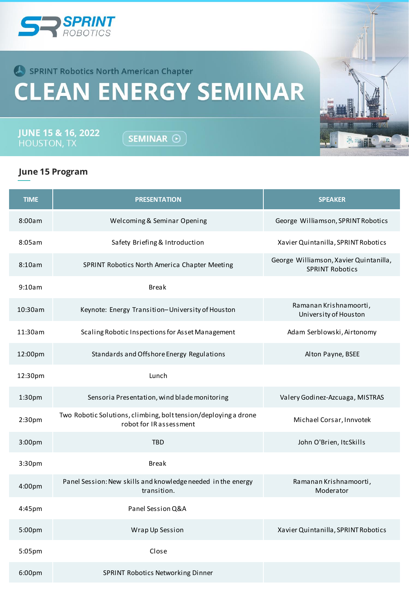

# **CLEAN ENERGY SEMINAR**

**JUNE 15 & 16, 2022**<br>HOUSTON, TX

SEMINAR  $\odot$ 

## **June 15 Program**

| <b>TIME</b> | <b>PRESENTATION</b>                                                                        | <b>SPEAKER</b>                                                   |
|-------------|--------------------------------------------------------------------------------------------|------------------------------------------------------------------|
| 8:00am      | Welcoming & Seminar Opening                                                                | George Williamson, SPRINT Robotics                               |
| 8:05am      | Safety Briefing & Introduction                                                             | Xavier Quintanilla, SPRINT Robotics                              |
| 8:10am      | SPRINT Robotics North America Chapter Meeting                                              | George Williamson, Xavier Quintanilla,<br><b>SPRINT Robotics</b> |
| 9:10am      | <b>Break</b>                                                                               |                                                                  |
| 10:30am     | Keynote: Energy Transition-University of Houston                                           | Ramanan Krishnamoorti,<br>University of Houston                  |
| 11:30am     | Scaling Robotic Inspections for Asset Management                                           | Adam Serblowski, Airtonomy                                       |
| 12:00pm     | Standards and Offshore Energy Regulations                                                  | Alton Payne, BSEE                                                |
| 12:30pm     | Lunch                                                                                      |                                                                  |
| 1:30pm      | Sensoria Presentation, wind blade monitoring                                               | Valery Godinez-Azcuaga, MISTRAS                                  |
| 2:30pm      | Two Robotic Solutions, climbing, bolt tension/deploying a drone<br>robot for IR assessment | Michael Corsar, Innvotek                                         |
| 3:00pm      | <b>TBD</b>                                                                                 | John O'Brien, ItcSkills                                          |
| 3:30pm      | <b>Break</b>                                                                               |                                                                  |
| 4:00pm      | Panel Session: New skills and knowledge needed in the energy<br>transition.                | Ramanan Krishnamoorti,<br>Moderator                              |
| $4:45$ pm   | Panel Session Q&A                                                                          |                                                                  |
| 5:00pm      | Wrap Up Session                                                                            | Xavier Quintanilla, SPRINT Robotics                              |
| 5:05pm      | Close                                                                                      |                                                                  |
| 6:00pm      | SPRINT Robotics Networking Dinner                                                          |                                                                  |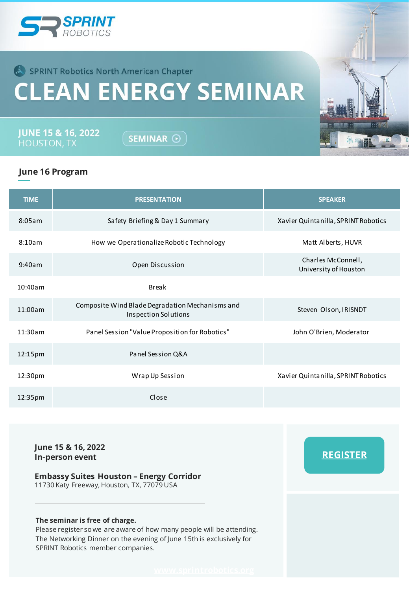

# **CLEAN ENERGY SEMINAR**

**JUNE 15 & 16, 2022** 

SEMINAR <sup>O</sup>

## **June 16 Program**

| <b>TIME</b> | <b>PRESENTATION</b>                                                     | <b>SPEAKER</b>                              |
|-------------|-------------------------------------------------------------------------|---------------------------------------------|
| 8:05am      | Safety Briefing & Day 1 Summary                                         | Xavier Quintanilla, SPRINT Robotics         |
| 8:10am      | How we Operationalize Robotic Technology                                | Matt Alberts, HUVR                          |
| 9:40am      | Open Discussion                                                         | Charles McConnell,<br>University of Houston |
| 10:40am     | <b>Break</b>                                                            |                                             |
| 11:00am     | Composite Wind Blade Degradation Mechanisms and<br>Inspection Solutions | Steven Olson, IRISNDT                       |
| 11:30am     | Panel Session "Value Proposition for Robotics"                          | John O'Brien, Moderator                     |
| 12:15pm     | Panel Session Q&A                                                       |                                             |
| 12:30pm     | Wrap Up Session                                                         | Xavier Quintanilla, SPRINT Robotics         |
| 12:35pm     | Close                                                                   |                                             |

**June 15 & 16, 2022 In-person event**

### **Embassy Suites Houston – Energy Corridor**

11730 Katy Freeway, Houston, TX, 77079 USA

#### **The seminar is free of charge.**

Please register so we are aware of how many people will be attending. The Networking Dinner on the evening of June 15th is exclusively for SPRINT Robotics member companies.